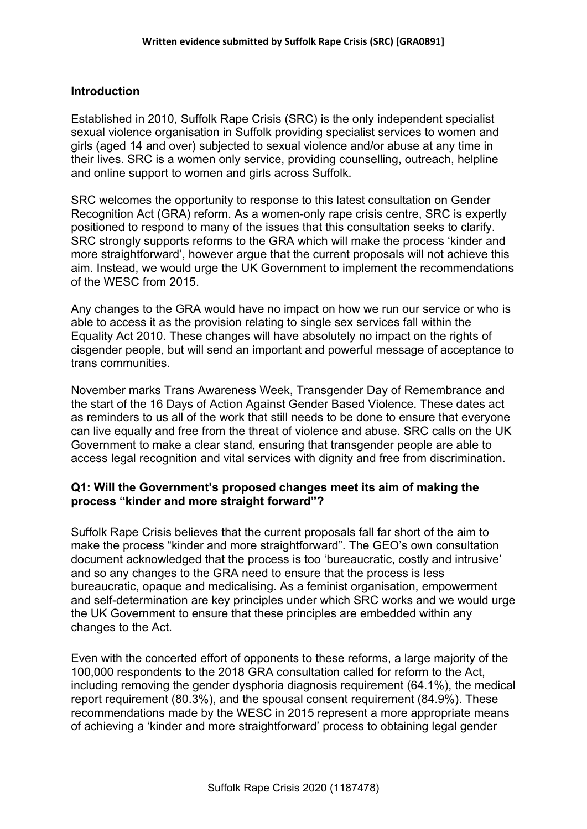#### **Introduction**

Established in 2010, Suffolk Rape Crisis (SRC) is the only independent specialist sexual violence organisation in Suffolk providing specialist services to women and girls (aged 14 and over) subjected to sexual violence and/or abuse at any time in their lives. SRC is a women only service, providing counselling, outreach, helpline and online support to women and girls across Suffolk.

SRC welcomes the opportunity to response to this latest consultation on Gender Recognition Act (GRA) reform. As a women-only rape crisis centre, SRC is expertly positioned to respond to many of the issues that this consultation seeks to clarify. SRC strongly supports reforms to the GRA which will make the process 'kinder and more straightforward', however argue that the current proposals will not achieve this aim. Instead, we would urge the UK Government to implement the recommendations of the WESC from 2015.

Any changes to the GRA would have no impact on how we run our service or who is able to access it as the provision relating to single sex services fall within the Equality Act 2010. These changes will have absolutely no impact on the rights of cisgender people, but will send an important and powerful message of acceptance to trans communities.

November marks Trans Awareness Week, Transgender Day of Remembrance and the start of the 16 Days of Action Against Gender Based Violence. These dates act as reminders to us all of the work that still needs to be done to ensure that everyone can live equally and free from the threat of violence and abuse. SRC calls on the UK Government to make a clear stand, ensuring that transgender people are able to access legal recognition and vital services with dignity and free from discrimination.

#### **Q1: Will the Government's proposed changes meet its aim of making the process "kinder and more straight forward"?**

Suffolk Rape Crisis believes that the current proposals fall far short of the aim to make the process "kinder and more straightforward". The GEO's own consultation document acknowledged that the process is too 'bureaucratic, costly and intrusive' and so any changes to the GRA need to ensure that the process is less bureaucratic, opaque and medicalising. As a feminist organisation, empowerment and self-determination are key principles under which SRC works and we would urge the UK Government to ensure that these principles are embedded within any changes to the Act.

Even with the concerted effort of opponents to these reforms, a large majority of the 100,000 respondents to the 2018 GRA consultation called for reform to the Act, including removing the gender dysphoria diagnosis requirement (64.1%), the medical report requirement (80.3%), and the spousal consent requirement (84.9%). These recommendations made by the WESC in 2015 represent a more appropriate means of achieving a 'kinder and more straightforward' process to obtaining legal gender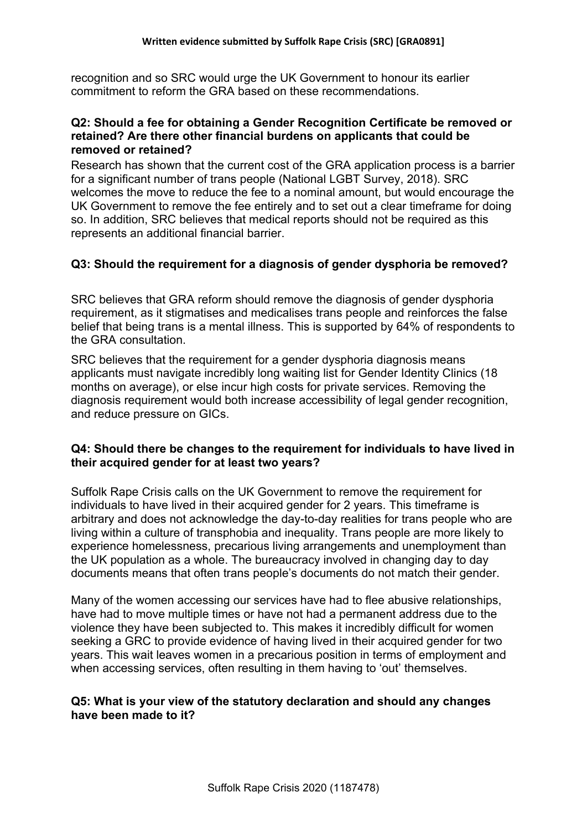recognition and so SRC would urge the UK Government to honour its earlier commitment to reform the GRA based on these recommendations.

### **Q2: Should a fee for obtaining a Gender Recognition Certificate be removed or retained? Are there other financial burdens on applicants that could be removed or retained?**

Research has shown that the current cost of the GRA application process is a barrier for a significant number of trans people (National LGBT Survey, 2018). SRC welcomes the move to reduce the fee to a nominal amount, but would encourage the UK Government to remove the fee entirely and to set out a clear timeframe for doing so. In addition, SRC believes that medical reports should not be required as this represents an additional financial barrier.

# **Q3: Should the requirement for a diagnosis of gender dysphoria be removed?**

SRC believes that GRA reform should remove the diagnosis of gender dysphoria requirement, as it stigmatises and medicalises trans people and reinforces the false belief that being trans is a mental illness. This is supported by 64% of respondents to the GRA consultation.

SRC believes that the requirement for a gender dysphoria diagnosis means applicants must navigate incredibly long waiting list for Gender Identity Clinics (18 months on average), or else incur high costs for private services. Removing the diagnosis requirement would both increase accessibility of legal gender recognition, and reduce pressure on GICs.

## **Q4: Should there be changes to the requirement for individuals to have lived in their acquired gender for at least two years?**

Suffolk Rape Crisis calls on the UK Government to remove the requirement for individuals to have lived in their acquired gender for 2 years. This timeframe is arbitrary and does not acknowledge the day-to-day realities for trans people who are living within a culture of transphobia and inequality. Trans people are more likely to experience homelessness, precarious living arrangements and unemployment than the UK population as a whole. The bureaucracy involved in changing day to day documents means that often trans people's documents do not match their gender.

Many of the women accessing our services have had to flee abusive relationships, have had to move multiple times or have not had a permanent address due to the violence they have been subjected to. This makes it incredibly difficult for women seeking a GRC to provide evidence of having lived in their acquired gender for two years. This wait leaves women in a precarious position in terms of employment and when accessing services, often resulting in them having to 'out' themselves.

### **Q5: What is your view of the statutory declaration and should any changes have been made to it?**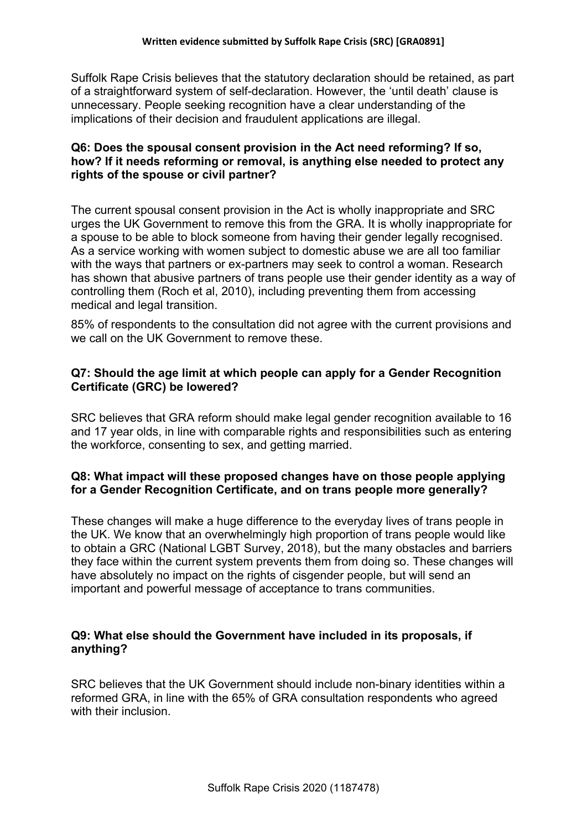Suffolk Rape Crisis believes that the statutory declaration should be retained, as part of a straightforward system of self-declaration. However, the 'until death' clause is unnecessary. People seeking recognition have a clear understanding of the implications of their decision and fraudulent applications are illegal.

### **Q6: Does the spousal consent provision in the Act need reforming? If so, how? If it needs reforming or removal, is anything else needed to protect any rights of the spouse or civil partner?**

The current spousal consent provision in the Act is wholly inappropriate and SRC urges the UK Government to remove this from the GRA. It is wholly inappropriate for a spouse to be able to block someone from having their gender legally recognised. As a service working with women subject to domestic abuse we are all too familiar with the ways that partners or ex-partners may seek to control a woman. Research has shown that abusive partners of trans people use their gender identity as a way of controlling them (Roch et al, 2010), including preventing them from accessing medical and legal transition.

85% of respondents to the consultation did not agree with the current provisions and we call on the UK Government to remove these.

# **Q7: Should the age limit at which people can apply for a Gender Recognition Certificate (GRC) be lowered?**

SRC believes that GRA reform should make legal gender recognition available to 16 and 17 year olds, in line with comparable rights and responsibilities such as entering the workforce, consenting to sex, and getting married.

## **Q8: What impact will these proposed changes have on those people applying for a Gender Recognition Certificate, and on trans people more generally?**

These changes will make a huge difference to the everyday lives of trans people in the UK. We know that an overwhelmingly high proportion of trans people would like to obtain a GRC (National LGBT Survey, 2018), but the many obstacles and barriers they face within the current system prevents them from doing so. These changes will have absolutely no impact on the rights of cisgender people, but will send an important and powerful message of acceptance to trans communities.

## **Q9: What else should the Government have included in its proposals, if anything?**

SRC believes that the UK Government should include non-binary identities within a reformed GRA, in line with the 65% of GRA consultation respondents who agreed with their inclusion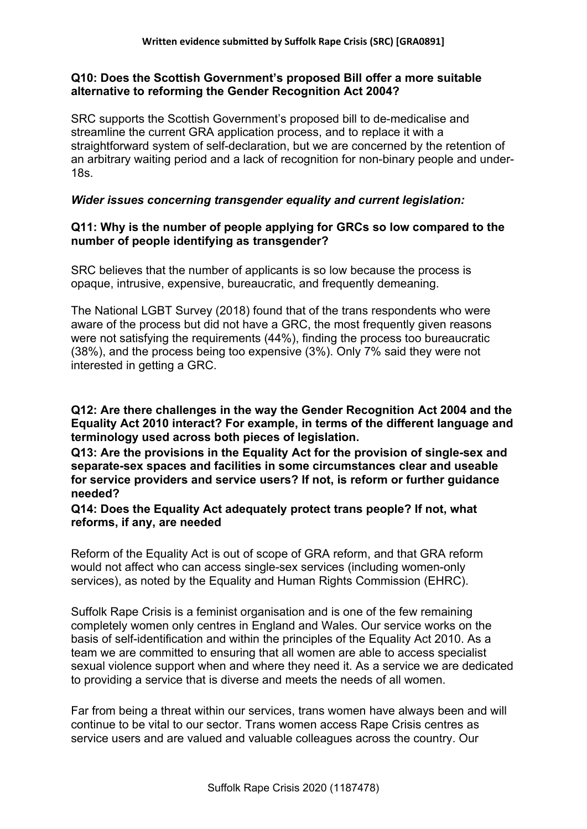### **Q10: Does the Scottish Government's proposed Bill offer a more suitable alternative to reforming the Gender Recognition Act 2004?**

SRC supports the Scottish Government's proposed bill to de-medicalise and streamline the current GRA application process, and to replace it with a straightforward system of self-declaration, but we are concerned by the retention of an arbitrary waiting period and a lack of recognition for non-binary people and under-18s.

### *Wider issues concerning transgender equality and current legislation:*

#### **Q11: Why is the number of people applying for GRCs so low compared to the number of people identifying as transgender?**

SRC believes that the number of applicants is so low because the process is opaque, intrusive, expensive, bureaucratic, and frequently demeaning.

The National LGBT Survey (2018) found that of the trans respondents who were aware of the process but did not have a GRC, the most frequently given reasons were not satisfying the requirements (44%), finding the process too bureaucratic (38%), and the process being too expensive (3%). Only 7% said they were not interested in getting a GRC.

**Q12: Are there challenges in the way the Gender Recognition Act 2004 and the Equality Act 2010 interact? For example, in terms of the different language and terminology used across both pieces of legislation.**

**Q13: Are the provisions in the Equality Act for the provision of single-sex and separate-sex spaces and facilities in some circumstances clear and useable for service providers and service users? If not, is reform or further guidance needed?**

**Q14: Does the Equality Act adequately protect trans people? If not, what reforms, if any, are needed**

Reform of the Equality Act is out of scope of GRA reform, and that GRA reform would not affect who can access single-sex services (including women-only services), as noted by the Equality and Human Rights Commission (EHRC).

Suffolk Rape Crisis is a feminist organisation and is one of the few remaining completely women only centres in England and Wales. Our service works on the basis of self-identification and within the principles of the Equality Act 2010. As a team we are committed to ensuring that all women are able to access specialist sexual violence support when and where they need it. As a service we are dedicated to providing a service that is diverse and meets the needs of all women.

Far from being a threat within our services, trans women have always been and will continue to be vital to our sector. Trans women access Rape Crisis centres as service users and are valued and valuable colleagues across the country. Our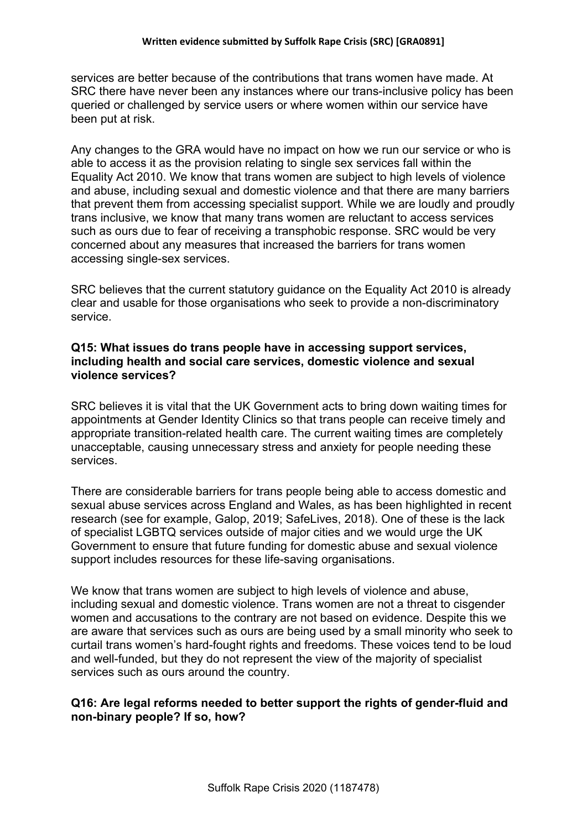services are better because of the contributions that trans women have made. At SRC there have never been any instances where our trans-inclusive policy has been queried or challenged by service users or where women within our service have been put at risk.

Any changes to the GRA would have no impact on how we run our service or who is able to access it as the provision relating to single sex services fall within the Equality Act 2010. We know that trans women are subject to high levels of violence and abuse, including sexual and domestic violence and that there are many barriers that prevent them from accessing specialist support. While we are loudly and proudly trans inclusive, we know that many trans women are reluctant to access services such as ours due to fear of receiving a transphobic response. SRC would be very concerned about any measures that increased the barriers for trans women accessing single-sex services.

SRC believes that the current statutory guidance on the Equality Act 2010 is already clear and usable for those organisations who seek to provide a non-discriminatory service.

### **Q15: What issues do trans people have in accessing support services, including health and social care services, domestic violence and sexual violence services?**

SRC believes it is vital that the UK Government acts to bring down waiting times for appointments at Gender Identity Clinics so that trans people can receive timely and appropriate transition-related health care. The current waiting times are completely unacceptable, causing unnecessary stress and anxiety for people needing these services.

There are considerable barriers for trans people being able to access domestic and sexual abuse services across England and Wales, as has been highlighted in recent research (see for example, Galop, 2019; SafeLives, 2018). One of these is the lack of specialist LGBTQ services outside of major cities and we would urge the UK Government to ensure that future funding for domestic abuse and sexual violence support includes resources for these life-saving organisations.

We know that trans women are subject to high levels of violence and abuse, including sexual and domestic violence. Trans women are not a threat to cisgender women and accusations to the contrary are not based on evidence. Despite this we are aware that services such as ours are being used by a small minority who seek to curtail trans women's hard-fought rights and freedoms. These voices tend to be loud and well-funded, but they do not represent the view of the majority of specialist services such as ours around the country.

## **Q16: Are legal reforms needed to better support the rights of gender-fluid and non-binary people? If so, how?**